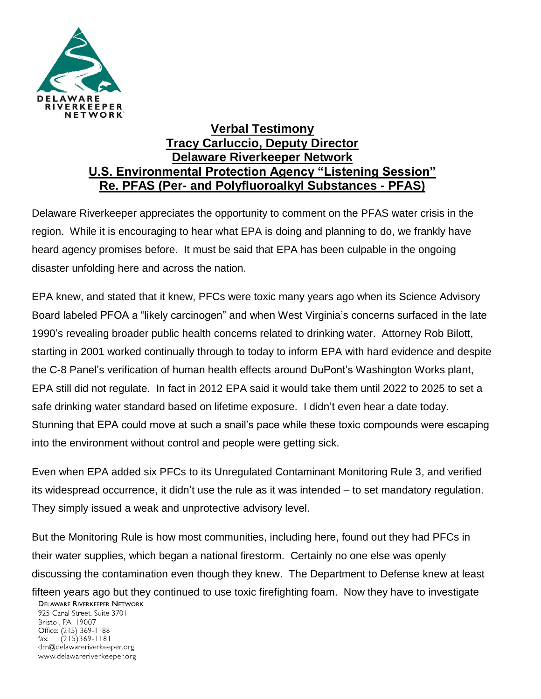

## **Verbal Testimony Tracy Carluccio, Deputy Director Delaware Riverkeeper Network U.S. Environmental Protection Agency "Listening Session" Re. PFAS (Per- and Polyfluoroalkyl Substances - PFAS)**

Delaware Riverkeeper appreciates the opportunity to comment on the PFAS water crisis in the region. While it is encouraging to hear what EPA is doing and planning to do, we frankly have heard agency promises before. It must be said that EPA has been culpable in the ongoing disaster unfolding here and across the nation.

EPA knew, and stated that it knew, PFCs were toxic many years ago when its Science Advisory Board labeled PFOA a "likely carcinogen" and when West Virginia's concerns surfaced in the late 1990's revealing broader public health concerns related to drinking water. Attorney Rob Bilott, starting in 2001 worked continually through to today to inform EPA with hard evidence and despite the C-8 Panel's verification of human health effects around DuPont's Washington Works plant, EPA still did not regulate. In fact in 2012 EPA said it would take them until 2022 to 2025 to set a safe drinking water standard based on lifetime exposure. I didn't even hear a date today. Stunning that EPA could move at such a snail's pace while these toxic compounds were escaping into the environment without control and people were getting sick.

Even when EPA added six PFCs to its Unregulated Contaminant Monitoring Rule 3, and verified its widespread occurrence, it didn't use the rule as it was intended – to set mandatory regulation. They simply issued a weak and unprotective advisory level.

But the Monitoring Rule is how most communities, including here, found out they had PFCs in their water supplies, which began a national firestorm. Certainly no one else was openly discussing the contamination even though they knew. The Department to Defense knew at least

fifteen years ago but they continued to use toxic firefighting foam. Now they have to investigate **DELAWARE RIVERKEEPER NETWORK** 

925 Canal Street, Suite 3701 Bristol, PA 19007 Office: (215) 369-1188  $(215)369 - 1181$ fax: drn@delawareriverkeeper.org www.delawareriverkeeper.org